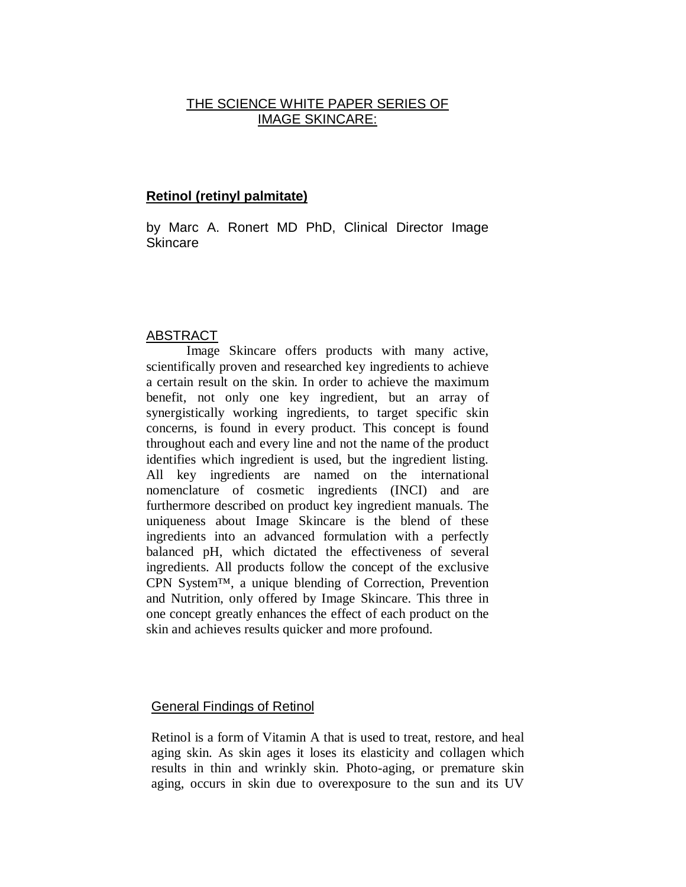# THE SCIENCE WHITE PAPER SERIES OF IMAGE SKINCARE:

## **Retinol (retinyl palmitate)**

by Marc A. Ronert MD PhD, Clinical Director Image Skincare

### ABSTRACT

Image Skincare offers products with many active, scientifically proven and researched key ingredients to achieve a certain result on the skin. In order to achieve the maximum benefit, not only one key ingredient, but an array of synergistically working ingredients, to target specific skin concerns, is found in every product. This concept is found throughout each and every line and not the name of the product identifies which ingredient is used, but the ingredient listing. All key ingredients are named on the international nomenclature of cosmetic ingredients (INCI) and are furthermore described on product key ingredient manuals. The uniqueness about Image Skincare is the blend of these ingredients into an advanced formulation with a perfectly balanced pH, which dictated the effectiveness of several ingredients. All products follow the concept of the exclusive CPN System™, a unique blending of Correction, Prevention and Nutrition, only offered by Image Skincare. This three in one concept greatly enhances the effect of each product on the skin and achieves results quicker and more profound.

### General Findings of Retinol

Retinol is a form of Vitamin A that is used to treat, restore, and heal aging skin. As skin ages it loses its elasticity and collagen which results in thin and wrinkly skin. Photo-aging, or premature skin aging, occurs in skin due to overexposure to the sun and its UV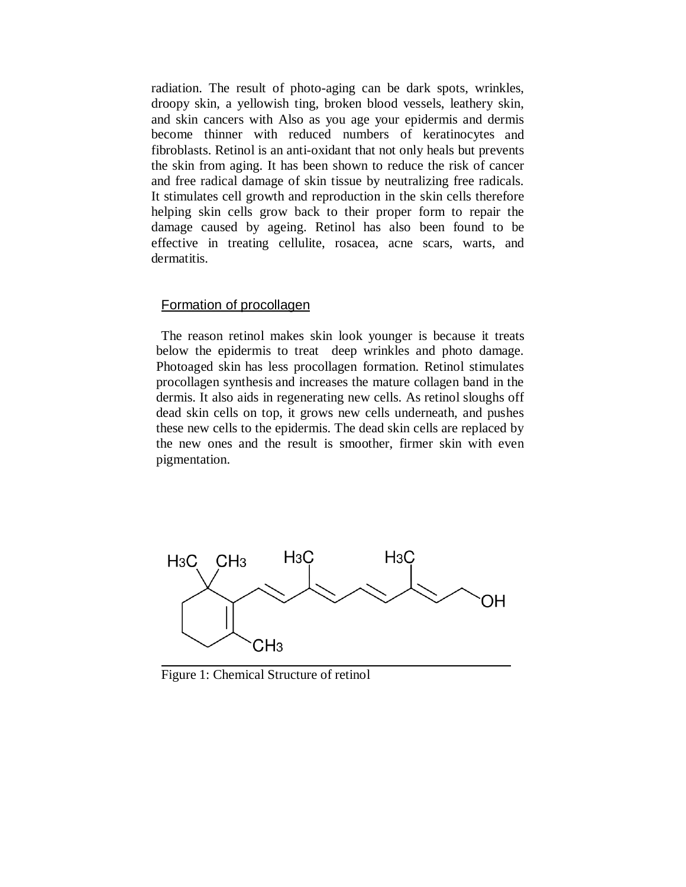radiation. The result of photo-aging can be dark spots, wrinkles, droopy skin, a yellowish ting, broken blood vessels, leathery skin, and skin cancers with Also as you age your epidermis and dermis become thinner with reduced numbers of keratinocytes and fibroblasts. Retinol is an anti-oxidant that not only heals but prevents the skin from aging. It has been shown to reduce the risk of cancer and free radical damage of skin tissue by neutralizing free radicals. It stimulates cell growth and reproduction in the skin cells therefore helping skin cells grow back to their proper form to repair the damage caused by ageing. Retinol has also been found to be effective in treating cellulite, rosacea, acne scars, warts, and dermatitis.

#### Formation of procollagen

The reason retinol makes skin look younger is because it treats below the epidermis to treat deep wrinkles and photo damage. Photoaged skin has less procollagen formation. Retinol stimulates procollagen synthesis and increases the mature collagen band in the dermis. It also aids in regenerating new cells. As retinol sloughs off dead skin cells on top, it grows new cells underneath, and pushes these new cells to the epidermis. The dead skin cells are replaced by the new ones and the result is smoother, firmer skin with even pigmentation.



Figure 1: Chemical Structure of retinol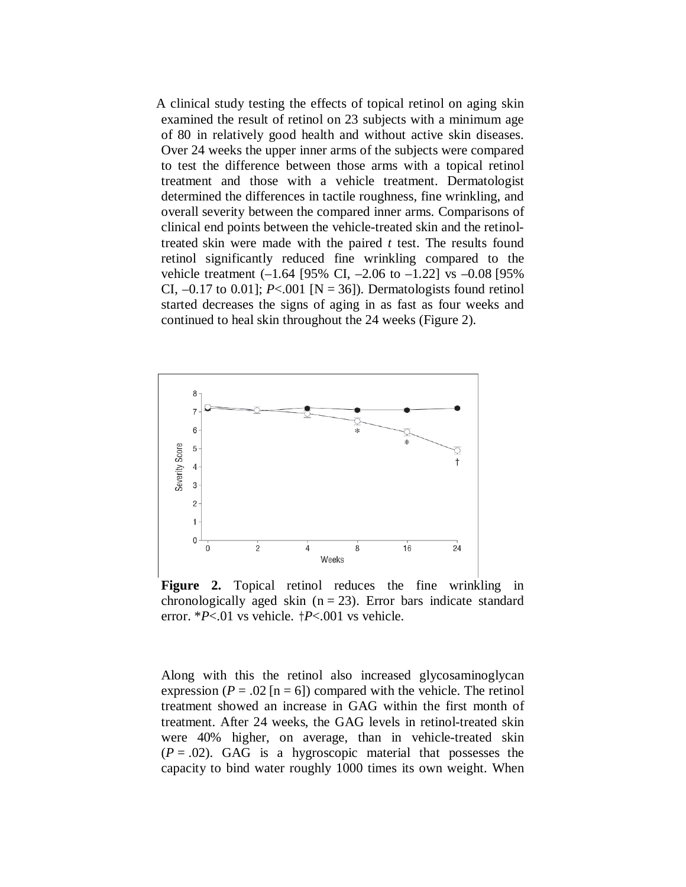A clinical study testing the effects of topical retinol on aging skin examined the result of retinol on 23 subjects with a minimum age of 80 in relatively good health and without active skin diseases. Over 24 weeks the upper inner arms of the subjects were compared to test the difference between those arms with a topical retinol treatment and those with a vehicle treatment. Dermatologist determined the differences in tactile roughness, fine wrinkling, and overall severity between the compared inner arms. Comparisons of clinical end points between the vehicle-treated skin and the retinoltreated skin were made with the paired *t* test. The results found retinol significantly reduced fine wrinkling compared to the vehicle treatment (–1.64 [95% CI, –2.06 to –1.22] vs –0.08 [95% CI,  $-0.17$  to 0.01]; *P*<.001 [N = 36]). Dermatologists found retinol started decreases the signs of aging in as fast as four weeks and continued to heal skin throughout the 24 weeks (Figure 2).



**Figure 2.** Topical retinol reduces the fine wrinkling in chronologically aged skin  $(n = 23)$ . Error bars indicate standard error. \**P*<.01 vs vehicle.  $\frac{1}{2}P$ <.001 vs vehicle.

Along with this the retinol also increased glycosaminoglycan expression ( $P = .02$  [n = 6]) compared with the vehicle. The retinol treatment showed an increase in GAG within the first month of treatment. After 24 weeks, the GAG levels in retinol-treated skin were 40% higher, on average, than in vehicle-treated skin  $(P = .02)$ . GAG is a hygroscopic material that possesses the capacity to bind water roughly 1000 times its own weight. When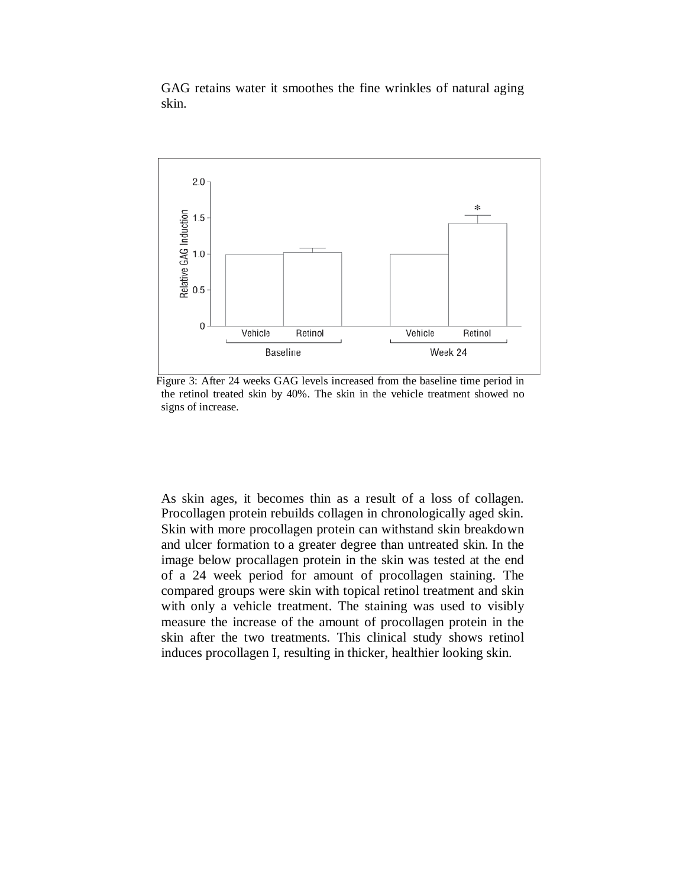GAG retains water it smoothes the fine wrinkles of natural aging skin.



Figure 3: After 24 weeks GAG levels increased from the baseline time period in the retinol treated skin by 40%. The skin in the vehicle treatment showed no signs of increase.

As skin ages, it becomes thin as a result of a loss of collagen. Procollagen protein rebuilds collagen in chronologically aged skin. Skin with more procollagen protein can withstand skin breakdown and ulcer formation to a greater degree than untreated skin. In the image below procallagen protein in the skin was tested at the end of a 24 week period for amount of procollagen staining. The compared groups were skin with topical retinol treatment and skin with only a vehicle treatment. The staining was used to visibly measure the increase of the amount of procollagen protein in the skin after the two treatments. This clinical study shows retinol induces procollagen I, resulting in thicker, healthier looking skin.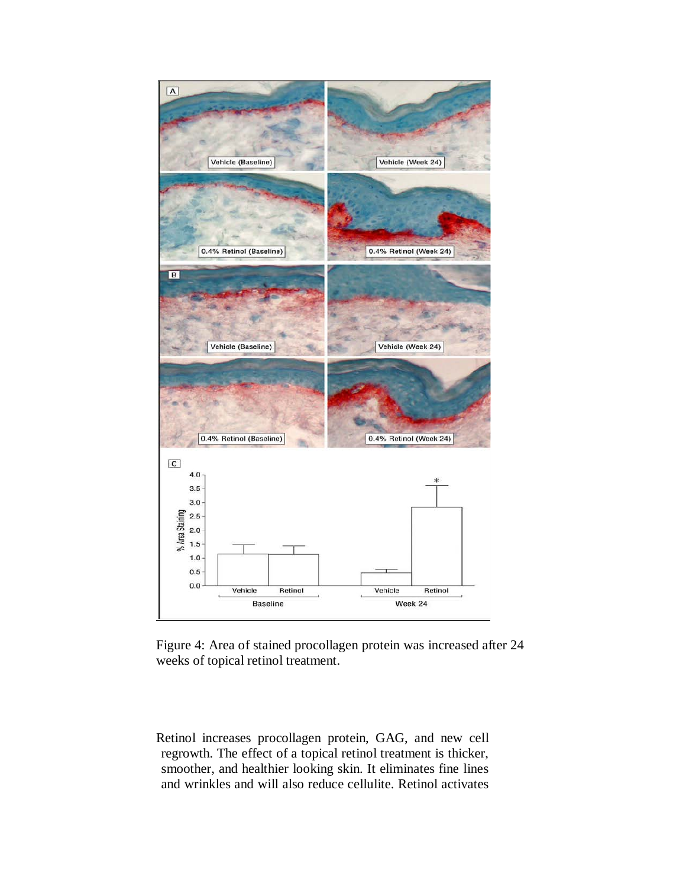

Figure 4: Area of stained procollagen protein was increased after 24 weeks of topical retinol treatment.

Retinol increases procollagen protein, GAG, and new cell regrowth. The effect of a topical retinol treatment is thicker, smoother, and healthier looking skin. It eliminates fine lines and wrinkles and will also reduce cellulite. Retinol activates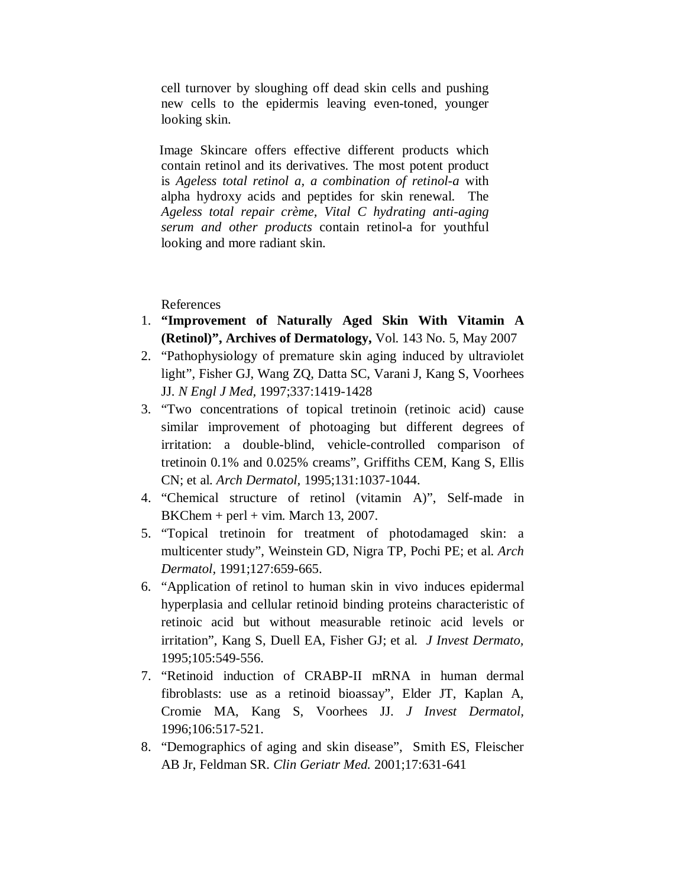cell turnover by sloughing off dead skin cells and pushing new cells to the epidermis leaving even-toned, younger looking skin.

Image Skincare offers effective different products which contain retinol and its derivatives. The most potent product is *Ageless total retinol a, a combination of retinol-a* with alpha hydroxy acids and peptides for skin renewal. The *Ageless total repair crème, Vital C hydrating anti-aging serum and other products* contain retinol-a for youthful looking and more radiant skin.

References

- 1. **"Improvement of Naturally Aged Skin With Vitamin A (Retinol)", Archives of Dermatology,** Vol. 143 No. 5, May 2007
- 2. "Pathophysiology of premature skin aging induced by ultraviolet light", Fisher GJ, Wang ZQ, Datta SC, Varani J, Kang S, Voorhees JJ. *N Engl J Med,* 1997;337:1419-1428
- 3. "Two concentrations of topical tretinoin (retinoic acid) cause similar improvement of photoaging but different degrees of irritation: a double-blind, vehicle-controlled comparison of tretinoin 0.1% and 0.025% creams", Griffiths CEM, Kang S, Ellis CN; et al. *Arch Dermatol,* 1995;131:1037-1044.
- 4. "Chemical structure of retinol (vitamin A)", Self-made in  $BKChem + perl + vim. March 13, 2007.$
- 5. "Topical tretinoin for treatment of photodamaged skin: a multicenter study", Weinstein GD, Nigra TP, Pochi PE; et al. *Arch Dermatol,* 1991;127:659-665.
- 6. "Application of retinol to human skin in vivo induces epidermal hyperplasia and cellular retinoid binding proteins characteristic of retinoic acid but without measurable retinoic acid levels or irritation", Kang S, Duell EA, Fisher GJ; et al. *J Invest Dermato,* 1995;105:549-556.
- 7. "Retinoid induction of CRABP-II mRNA in human dermal fibroblasts: use as a retinoid bioassay", Elder JT, Kaplan A, Cromie MA, Kang S, Voorhees JJ. *J Invest Dermatol,*  1996;106:517-521.
- 8. "Demographics of aging and skin disease", Smith ES, Fleischer AB Jr, Feldman SR. *Clin Geriatr Med.* 2001;17:631-641